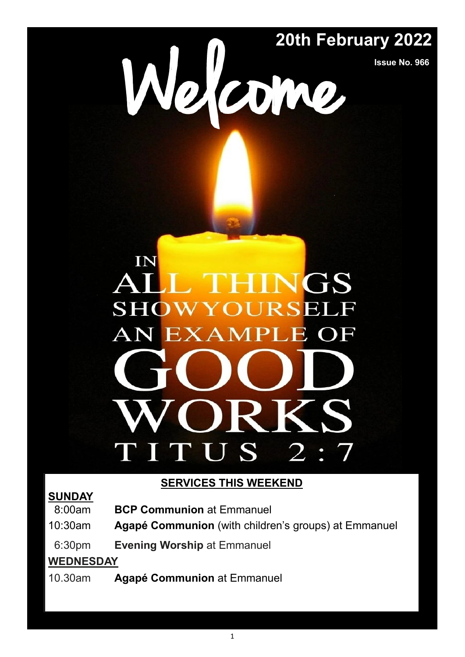# **20th February 2022**

**Issue No. 966**

# IN GS **SHOW RSEI AN EXAMPLE**  $\overline{OF}$  $\overline{2}$ U S P.

# **SERVICES THIS WEEKEND**

# **SUNDAY**

- 08:00am **BCP Communion** at Emmanuel
- 10:30am **Agapé Communion** (with children's groups) at Emmanuel
- 06:30pm **Evening Worship** at Emmanuel

# **WEDNESDAY**

10.30am **Agapé Communion** at Emmanuel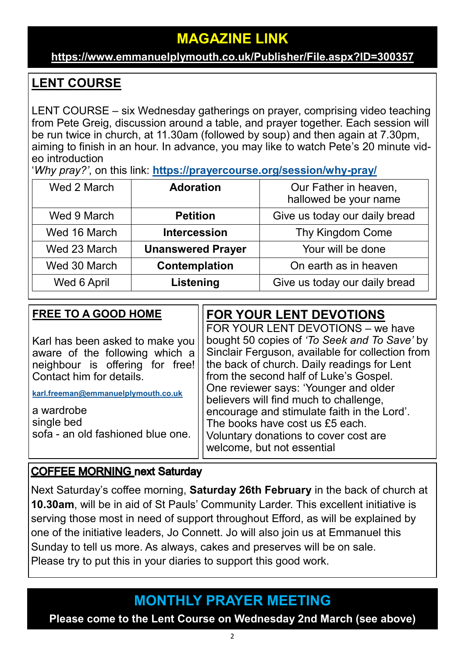# **MAGAZINE LINK**

# **[https://www.emmanuelplymouth.co.uk/Publisher/File.aspx?ID=300357](https://emmanuelplymouth.co.uk/Publisher/File.aspx?ID=300357)**

# **LENT COURSE**

LENT COURSE – six Wednesday gatherings on prayer, comprising video teaching from Pete Greig, discussion around a table, and prayer together. Each session will be run twice in church, at 11.30am (followed by soup) and then again at 7.30pm, aiming to finish in an hour. In advance, you may like to watch Pete's 20 minute video introduction

'*Why pray?'*, on this link: **[https://prayercourse.org/session/why](https://prayercourse.org/session/why-pray/)-pray/**

| Wed 2 March  | <b>Adoration</b>         | Our Father in heaven,<br>hallowed be your name |
|--------------|--------------------------|------------------------------------------------|
| Wed 9 March  | <b>Petition</b>          | Give us today our daily bread                  |
| Wed 16 March | <b>Intercession</b>      | Thy Kingdom Come                               |
| Wed 23 March | <b>Unanswered Prayer</b> | Your will be done                              |
| Wed 30 March | Contemplation            | On earth as in heaven                          |
| Wed 6 April  | Listening                | Give us today our daily bread                  |

| <b>FREE TO A GOOD HOME</b>                                                                                                                                                                                                               | <b>FOR YOUR LENT DEVOTIONS</b>                                                                                                                                                                                                                                                                                                                                                                                                                                             |
|------------------------------------------------------------------------------------------------------------------------------------------------------------------------------------------------------------------------------------------|----------------------------------------------------------------------------------------------------------------------------------------------------------------------------------------------------------------------------------------------------------------------------------------------------------------------------------------------------------------------------------------------------------------------------------------------------------------------------|
| Karl has been asked to make you<br>aware of the following which a<br>neighbour is offering for free!<br>Contact him for details.<br>karl.freeman@emmanuelplymouth.co.uk<br>a wardrobe<br>single bed<br>sofa - an old fashioned blue one. | FOR YOUR LENT DEVOTIONS - we have<br>bought 50 copies of 'To Seek and To Save' by<br>Sinclair Ferguson, available for collection from<br>the back of church. Daily readings for Lent<br>from the second half of Luke's Gospel.<br>One reviewer says: 'Younger and older<br>believers will find much to challenge,<br>encourage and stimulate faith in the Lord'.<br>The books have cost us £5 each.<br>Voluntary donations to cover cost are<br>welcome, but not essential |

# **COFFEE MORNING next Saturday**

Next Saturday's coffee morning, **Saturday 26th February** in the back of church at **10.30am**, will be in aid of St Pauls' Community Larder. This excellent initiative is serving those most in need of support throughout Efford, as will be explained by one of the initiative leaders, Jo Connett. Jo will also join us at Emmanuel this Sunday to tell us more. As always, cakes and preserves will be on sale. Please try to put this in your diaries to support this good work.

# **MONTHLY PRAYER MEETING**

**Please come to the Lent Course on Wednesday 2nd March (see above)**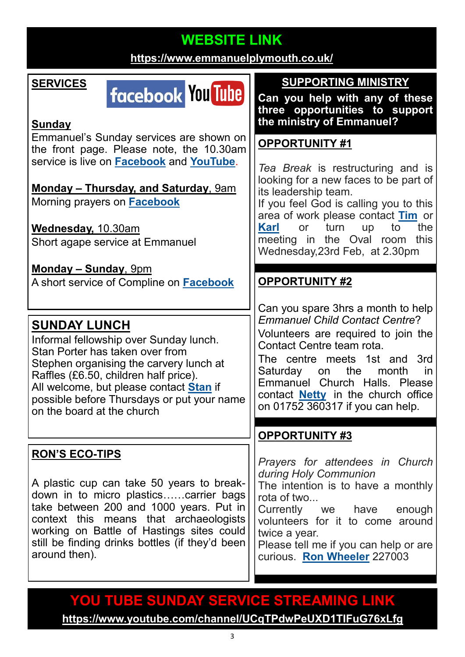# **WEBSITE LINK**

**<https://www.emmanuelplymouth.co.uk/>**

# **SERVICES**

# **facebook You Tube**

#### **Sunday**

Emmanuel's Sunday services are shown on the front page. Please note, the 10.30am service is live on **[Facebook](https://www.facebook.com/emmanuelwithstpauls/)** and **[YouTube](https://www.youtube.com/channel/UCqTPdwPeUXD1TIFuG76xLfg)**.

**Monday – Thursday, and Saturday**, 9am Morning prayers on **[Facebook](https://www.facebook.com/emmanuelwithstpauls/)**

**Wednesday,** 10.30am Short agape service at Emmanuel

**Monday – Sunday**, 9pm A short service of Compline on **[Facebook](https://www.facebook.com/emmanuelwithstpauls/)**

# **SUNDAY LUNCH**

Informal fellowship over Sunday lunch. Stan Porter has taken over from Stephen organising the carvery lunch at Raffles (£6.50, children half price). All welcome, but please contact **[Stan](mailto:stanlaptop@blueyonder.co.uk)** if possible before Thursdays or put your name on the board at the church

# **RON'S ECO-TIPS**

A plastic cup can take 50 years to breakdown in to micro plastics……carrier bags take between 200 and 1000 years. Put in context this means that archaeologists working on Battle of Hastings sites could still be finding drinks bottles (if they'd been around then).

**SUPPORTING MINISTRY**

**Can you help with any of these three opportunities to support the ministry of Emmanuel?**

# **OPPORTUNITY #1**

*Tea Break* is restructuring and is looking for a new faces to be part of its leadership team.

If you feel God is calling you to this area of work please contact **[Tim](mailto:atlyddon@gmail.com)** or **[Karl](mailto:karl.freeman@emmanuelplymouth.co.uk)** or turn up to the meeting in the Oval room this Wednesday,23rd Feb, at 2.30pm

# **OPPORTUNITY #2**

Can you spare 3hrs a month to help *Emmanuel Child Contact Centre*? Volunteers are required to join the Contact Centre team rota.

The centre meets 1st and 3rd Saturday on the month in Emmanuel Church Halls. Please contact **[Netty](mailto:office@emmanuelplymouth.co.uk)** in the church office on 01752 360317 if you can help.

# **OPPORTUNITY #3**

*Prayers for attendees in Church during Holy Communion* The intention is to have a monthly rota of two... Currently we have enough volunteers for it to come around twice a year. Please tell me if you can help or are curious. **[Ron Wheeler](mailto:ronwheeler10@gmail.com)** 227003

# **YOU TUBE SUNDAY SERVICE STREAMING LINK**

**<https://www.youtube.com/channel/UCqTPdwPeUXD1TIFuG76xLfg>**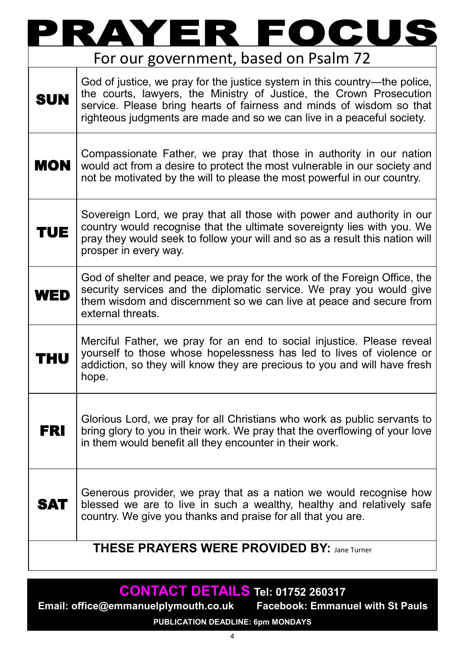|                                                    | $\mathbf C$<br>FO<br>$\overline{\phantom{a}}$<br>$\blacksquare$                                                                                                                                                                                                                                     |  |
|----------------------------------------------------|-----------------------------------------------------------------------------------------------------------------------------------------------------------------------------------------------------------------------------------------------------------------------------------------------------|--|
|                                                    | For our government, based on Psalm 72                                                                                                                                                                                                                                                               |  |
| <b>SUN</b>                                         | God of justice, we pray for the justice system in this country—the police,<br>the courts, lawyers, the Ministry of Justice, the Crown Prosecution<br>service. Please bring hearts of fairness and minds of wisdom so that<br>righteous judgments are made and so we can live in a peaceful society. |  |
| <b>MON</b>                                         | Compassionate Father, we pray that those in authority in our nation<br>would act from a desire to protect the most vulnerable in our society and<br>not be motivated by the will to please the most powerful in our country.                                                                        |  |
| TUE                                                | Sovereign Lord, we pray that all those with power and authority in our<br>country would recognise that the ultimate sovereignty lies with you. We<br>pray they would seek to follow your will and so as a result this nation will<br>prosper in every way.                                          |  |
| WED                                                | God of shelter and peace, we pray for the work of the Foreign Office, the<br>security services and the diplomatic service. We pray you would give<br>them wisdom and discernment so we can live at peace and secure from<br>external threats.                                                       |  |
| HU                                                 | Merciful Father, we pray for an end to social injustice. Please reveal<br>yourself to those whose hopelessness has led to lives of violence or<br>addiction, so they will know they are precious to you and will have fresh<br>hope.                                                                |  |
| <b>FRI</b>                                         | Glorious Lord, we pray for all Christians who work as public servants to<br>bring glory to you in their work. We pray that the overflowing of your love<br>in them would benefit all they encounter in their work.                                                                                  |  |
| <b>SAT</b>                                         | Generous provider, we pray that as a nation we would recognise how<br>blessed we are to live in such a wealthy, healthy and relatively safe<br>country. We give you thanks and praise for all that you are.                                                                                         |  |
| <b>THESE PRAYERS WERE PROVIDED BY: Jane Turner</b> |                                                                                                                                                                                                                                                                                                     |  |

# **CONTACT DETAILS Tel: 01752 260317**

**Email: office@emmanuelplymouth.co.uk Facebook: Emmanuel with St Pauls PUBLICATION DEADLINE: 6pm MONDAYS**